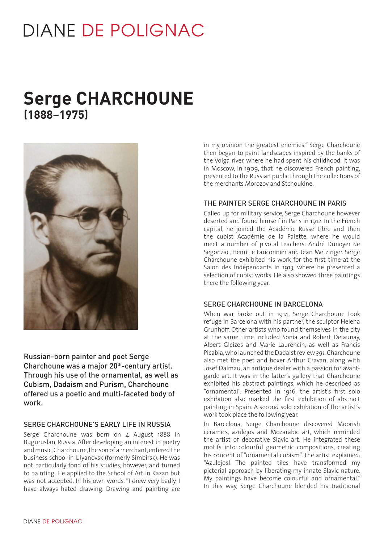# **DIANE DE POLIGNAC**

# **Serge CHARCHOUNE (1888–1975)**



Russian-born painter and poet Serge Charchoune was a major 20<sup>th</sup>-century artist. Through his use of the ornamental, as well as Cubism, Dadaism and Purism, Charchoune offered us a poetic and multi-faceted body of work.

#### SERGE CHARCHOUNE'S EARLY LIFE IN RUSSIA

Serge Charchoune was born on 4 August 1888 in Buguruslan, Russia. After developing an interest in poetry and music, Charchoune, the son of a merchant, entered the business school in Ulyanovsk (formerly Simbirsk). He was not particularly fond of his studies, however, and turned to painting. He applied to the School of Art in Kazan but was not accepted. In his own words, "I drew very badly. I have always hated drawing. Drawing and painting are

in my opinion the greatest enemies." Serge Charchoune then began to paint landscapes inspired by the banks of the Volga river, where he had spent his childhood. It was in Moscow, in 1909, that he discovered French painting, presented to the Russian public through the collections of the merchants Morozov and Stchoukine.

#### THE PAINTER SERGE CHARCHOUNE IN PARIS

Called up for military service, Serge Charchoune however deserted and found himself in Paris in 1912. In the French capital, he joined the Académie Russe Libre and then the cubist Académie de la Palette, where he would meet a number of pivotal teachers: André Dunoyer de Segonzac, Henri Le Fauconnier and Jean Metzinger. Serge Charchoune exhibited his work for the first time at the Salon des Indépendants in 1913, where he presented a selection of cubist works. He also showed three paintings there the following year.

#### SERGE CHARCHOUNE IN BARCELONA

When war broke out in 1914, Serge Charchoune took refuge in Barcelona with his partner, the sculptor Helena Grunhoff. Other artists who found themselves in the city at the same time included Sonia and Robert Delaunay, Albert Gleizes and Marie Laurencin, as well as Francis Picabia, who launched the Dadaist review *391.* Charchoune also met the poet and boxer Arthur Cravan, along with Josef Dalmau, an antique dealer with a passion for avantgarde art. It was in the latter's gallery that Charchoune exhibited his abstract paintings, which he described as "ornamental". Presented in 1916, the artist's first solo exhibition also marked the first exhibition of abstract painting in Spain. A second solo exhibition of the artist's work took place the following year.

In Barcelona, Serge Charchoune discovered Moorish ceramics, azulejos and Mozarabic art, which reminded the artist of decorative Slavic art. He integrated these motifs into colourful geometric compositions, creating his concept of "ornamental cubism". The artist explained: "Azulejos! The painted tiles have transformed my pictorial approach by liberating my innate Slavic nature. My paintings have become colourful and ornamental." In this way, Serge Charchoune blended his traditional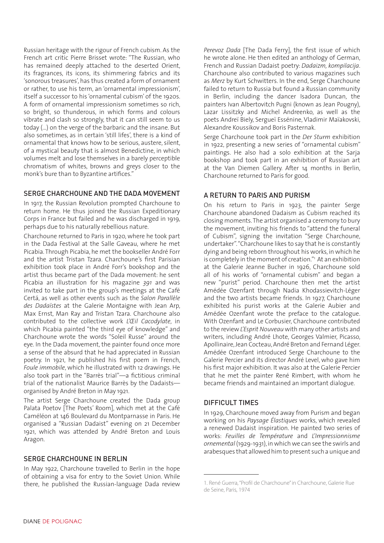Russian heritage with the rigour of French cubism. As the French art critic Pierre Brisset wrote: "The Russian, who has remained deeply attached to the deserted Orient, its fragrances, its icons, its shimmering fabrics and its 'sonorous treasures', has thus created a form of ornament or rather, to use his term, an 'ornamental impressionism', itself a successor to his 'ornamental cubism' of the 1920s. A form of ornamental impressionism sometimes so rich, so bright, so thunderous, in which forms and colours vibrate and clash so strongly, that it can still seem to us today (...) on the verge of the barbaric and the insane. But also sometimes, as in certain 'still lifes', there is a kind of ornamental that knows how to be serious, austere, silent, of a mystical beauty that is almost Benedictine, in which volumes melt and lose themselves in a barely perceptible chromatism of whites, browns and greys closer to the monk's bure than to Byzantine artifices."

# SERGE CHARCHOUNE AND THE DADA MOVEMENT

In 1917, the Russian Revolution prompted Charchoune to return home. He thus joined the Russian Expeditionary Corps in France but failed and he was discharged in 1919, perhaps due to his naturally rebellious nature.

Charchoune returned to Paris in 1920, where he took part in the Dada Festival at the Salle Gaveau, where he met Picabia. Through Picabia, he met the bookseller André Forr and the artist Tristan Tzara. Charchoune's first Parisian exhibition took place in André Forr's bookshop and the artist thus became part of the Dada movement: he sent Picabia an illustration for his magazine *391* and was invited to take part in the group's meetings at the Café Certá, as well as other events such as the *Salon Parallèle des Dadaïstes* at the Galerie Montaigne with Jean Arp, Max Ernst, Man Ray and Tristan Tzara. Charchoune also contributed to the collective work *L'Œil Cacodylate*, in which Picabia painted "the third eye of knowledge" and Charchoune wrote the words "Soleil Russe" around the eye. In the Dada movement, the painter found once more a sense of the absurd that he had appreciated in Russian poetry. In 1921, he published his first poem in French, *Foule immobile*, which he illustrated with 12 drawings. He also took part in the "Barrès trial"—a fictitious criminal trial of the nationalist Maurice Barrès by the Dadaists organised by André Breton in May 1921.

The artist Serge Charchoune created the Dada group Palata Poetov [The Poets' Room], which met at the Café Caméléon at 146 Boulevard du Montparnasse in Paris. He organised a "Russian Dadaist" evening on 21 December 1921, which was attended by André Breton and Louis Aragon.

# SERGE CHARCHOUNE IN BERLIN

In May 1922, Charchoune travelled to Berlin in the hope of obtaining a visa for entry to the Soviet Union. While there, he published the Russian-language Dada review *Perevoz Dada* [The Dada Ferry], the first issue of which he wrote alone. He then edited an anthology of German, French and Russian Dadaist poetry: *Dadaizm, kompilacija*. Charchoune also contributed to various magazines such as *Merz* by Kurt Schwitters. In the end, Serge Charchoune failed to return to Russia but found a Russian community in Berlin, including the dancer Isadora Duncan, the painters Ivan Albertovitch Pugni (known as Jean Pougny), Lazar Lissitzky and Michel Andreenko, as well as the poets Andreï Biely, Sergueï Essénine, Vladimir Maïakovski, Alexandre Koussikov and Boris Pasternak.

Serge Charchoune took part in the *Der Sturm* exhibition in 1922, presenting a new series of "ornamental cubism" paintings. He also had a solo exhibition at the Sarja bookshop and took part in an exhibition of Russian art at the Van Diemen Gallery. After 14 months in Berlin, Charchoune returned to Paris for good.

# A RETURN TO PARIS AND PURISM

On his return to Paris in 1923, the painter Serge Charchoune abandoned Dadaism as Cubism reached its closing moments. The artist organised a ceremony to bury the movement, inviting his friends to "attend the funeral of Cubism", signing the invitation "Serge Charchoune, undertaker". "Charchoune likes to say that he is constantly dying and being reborn throughout his works, in which he is completely in the moment of creation."1 At an exhibition at the Galerie Jeanne Bucher in 1926, Charchoune sold all of his works of "ornamental cubism" and began a new "purist" period. Charchoune then met the artist Amédée Ozenfant through Nadia Khodassievitch-Léger and the two artists became friends. In 1927, Charchoune exhibited his purist works at the Galerie Aubier and Amédée Ozenfant wrote the preface to the catalogue. With Ozenfant and Le Corbusier, Charchoune contributed to the review *L'Esprit Nouveau* with many other artists and writers, including André Lhote, Georges Valmier, Picasso, Apollinaire, Jean Cocteau, André Breton and Fernand Léger. Amédée Ozenfant introduced Serge Charchoune to the Galerie Percier and its director André Level, who gave him his first major exhibition. It was also at the Galerie Percier that he met the painter René Rimbert, with whom he became friends and maintained an important dialogue.

# DIFFICULT TIMES

In 1929, Charchoune moved away from Purism and began working on his *Paysage Élastiques* works, which revealed a renewed Dadaist inspiration. He painted two series of works: *Feuilles de Température* and *L'Impressionnisme ornemental* (1929-1931), in which we can see the swirls and arabesques that allowed him to present such a unique and

<sup>1.</sup> René Guerra, "Profil de Charchoune" in Charchoune, Galerie Rue de Seine, Paris, 1974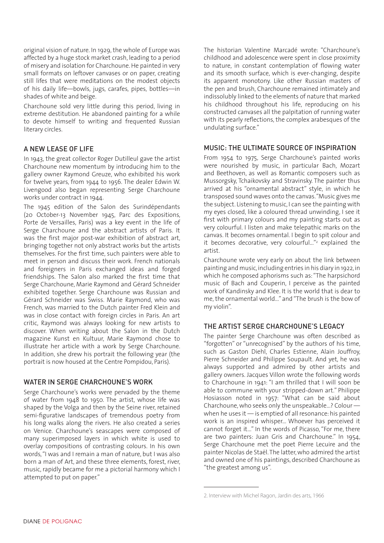original vision of nature. In 1929, the whole of Europe was affected by a huge stock market crash, leading to a period of misery and isolation for Charchoune. He painted in very small formats on leftover canvases or on paper, creating still lifes that were meditations on the modest objects of his daily life—bowls, jugs, carafes, pipes, bottles—in shades of white and beige.

Charchoune sold very little during this period, living in extreme destitution. He abandoned painting for a while to devote himself to writing and frequented Russian literary circles.

# A NEW LEASE OF LIFE

In 1943, the great collector Roger Dutilleul gave the artist Charchoune new momentum by introducing him to the gallery owner Raymond Greuze, who exhibited his work for twelve years, from 1944 to 1956. The dealer Edwin W. Livengood also began representing Serge Charchoune works under contract in 1944.

The 1945 edition of the Salon des Surindépendants (20 October-13 November 1945, Parc des Expositions, Porte de Versailles, Paris) was a key event in the life of Serge Charchoune and the abstract artists of Paris. It was the first major post-war exhibition of abstract art, bringing together not only abstract works but the artists themselves. For the first time, such painters were able to meet in person and discuss their work. French nationals and foreigners in Paris exchanged ideas and forged friendships. The Salon also marked the first time that Serge Charchoune, Marie Raymond and Gérard Schneider exhibited together. Serge Charchoune was Russian and Gérard Schneider was Swiss. Marie Raymond, who was French, was married to the Dutch painter Fred Klein and was in close contact with foreign circles in Paris. An art critic, Raymond was always looking for new artists to discover. When writing about the Salon in the Dutch magazine Kunst en Kultuur, Marie Raymond chose to illustrate her article with a work by Serge Charchoune. In addition, she drew his portrait the following year (the portrait is now housed at the Centre Pompidou, Paris).

# WATER IN SERGE CHARCHOUNE'S WORK

Serge Charchoune's works were pervaded by the theme of water from 1948 to 1950. The artist, whose life was shaped by the Volga and then by the Seine river, retained semi-figurative landscapes of tremendous poetry from his long walks along the rivers. He also created a series on Venice. Charchoune's seascapes were composed of many superimposed layers in which white is used to overlay compositions of contrasting colours. In his own words, "I was and I remain a man of nature, but I was also born a man of Art, and these three elements, forest, river, music, rapidly became for me a pictorial harmony which I attempted to put on paper."

The historian Valentine Marcadé wrote: "Charchoune's childhood and adolescence were spent in close proximity to nature, in constant contemplation of flowing water and its smooth surface, which is ever-changing, despite its apparent monotony. Like other Russian masters of the pen and brush, Charchoune remained intimately and indissolubly linked to the elements of nature that marked his childhood throughout his life, reproducing on his constructed canvases all the palpitation of running water with its pearly reflections, the complex arabesques of the undulating surface."

# MUSIC: THE ULTIMATE SOURCE OF INSPIRATION

From 1954 to 1975, Serge Charchoune's painted works were nourished by music, in particular Bach, Mozart and Beethoven, as well as Romantic composers such as Mussorgsky, Tchaikovsky and Stravinsky. The painter thus arrived at his "ornamental abstract" style, in which he transposed sound waves onto the canvas. "Music gives me the subject. Listening to music, I can see the painting with my eyes closed, like a coloured thread unwinding, I see it first with primary colours and my painting starts out as very colourful. I listen and make telepathic marks on the canvas. It becomes ornamental. I begin to spit colour and it becomes decorative, very colourful..."<sup>2</sup> explained the artist.

Charchoune wrote very early on about the link between painting and music, including entries in his diary in 1922, in which he composed aphorisms such as: "The harpsichord music of Bach and Couperin, I perceive as the painted work of Kandinsky and Klee. It is the world that is dear to me, the ornamental world..." and "The brush is the bow of my violin".

# THE ARTIST SERGE CHARCHOUNE'S LEGACY

The painter Serge Charchoune was often described as "forgotten" or "unrecognised" by the authors of his time, such as Gaston Diehl, Charles Estienne, Alain Jouffroy, Pierre Schneider and Philippe Soupault. And yet, he was always supported and admired by other artists and gallery owners. Jacques Villon wrote the following words to Charchoune in 1941: "I am thrilled that I will soon be able to commune with your stripped-down art." Philippe Hosiasson noted in 1957: "What can be said about Charchoune, who seeks only the unspeakable...? Colour when he uses it — is emptied of all resonance: his painted work is an inspired whisper... Whoever has perceived it cannot forget it..." In the words of Picasso, "For me, there are two painters: Juan Gris and Charchoune." In 1954, Serge Charchoune met the poet Pierre Lecuire and the painter Nicolas de Staël. The latter, who admired the artist and owned one of his paintings, described Charchoune as "the greatest among us".

<sup>2.</sup> Interview with Michel Ragon, Jardin des arts, 1966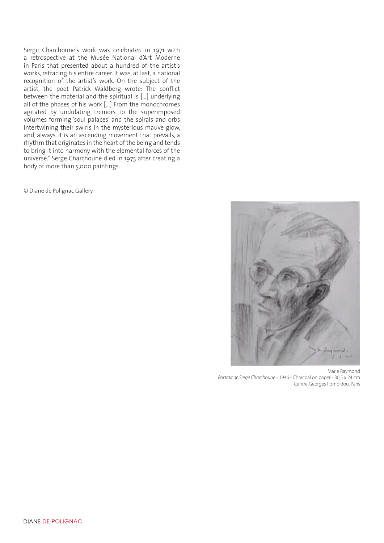Serge Charchoune's work was celebrated in 1971 with a retrospective at the Musée National d'Art Moderne in Paris that presented about a hundred of the artist's works, retracing his entire career. It was, at last, a national recognition of the artist's work. On the subject of the artist, the poet Patrick Waldberg wrote: The conflict between the material and the spiritual is [...] underlying all of the phases of his work [...] From the monochromes agitated by undulating tremors to the superimposed volumes forming 'soul palaces' and the spirals and orbs intertwining their swirls in the mysterious mauve glow, and, always, it is an ascending movement that prevails, a rhythm that originates in the heart of the being and tends to bring it into harmony with the elemental forces of the universe." Serge Charchoune died in 1975 after creating a body of more than 5,000 paintings.

© Diane de Polignac Gallery



Marie Raymond *Portrait de Serge Charchoune* - 1946 - Charcoal on paper - 30,5 x 24 cm Centre Georges Pompidou, Paris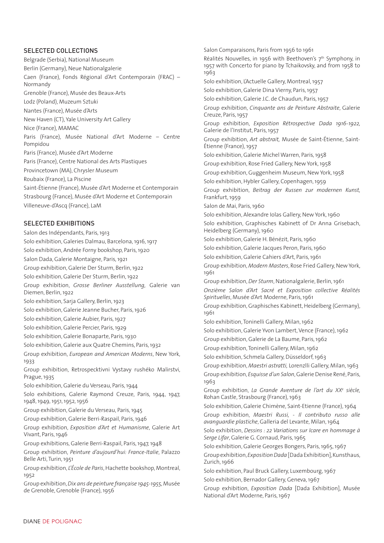#### SELECTED COLLECTIONS

Belgrade (Serbia), National Museum Berlin (Germany), Neue Nationalgalerie Caen (France), Fonds Régional d'Art Contemporain (FRAC) – Normandy Grenoble (France), Musée des Beaux-Arts Lodz (Poland), Muzeum Sztuki Nantes (France), Musée d'Arts New Haven (CT), Yale University Art Gallery Nice (France), MAMAC Paris (France), Musée National d'Art Moderne – Centre Pompidou Paris (France), Musée d'Art Moderne Paris (France), Centre National des Arts Plastiques Provincetown (MA), Chrysler Museum Roubaix (France), La Piscine Saint-Étienne (France), Musée d'Art Moderne et Contemporain Strasbourg (France), Musée d'Art Moderne et Contemporain Villeneuve-d'Ascq (France), LaM SELECTED EXHIBITIONS Salon des Indépendants, Paris, 1913 Solo exhibition, Galeries Dalmau, Barcelona, 1916, 1917 Solo exhibition, Andrée Forny bookshop, Paris, 1920 Salon Dada, Galerie Montaigne, Paris, 1921 Group exhibition, Galerie Der Sturm, Berlin, 1922 Solo exhibition, Galerie Der Sturm, Berlin, 1922 Group exhibition, *Grosse Berliner Ausstellung,* Galerie van Diemen, Berlin, 1922 Solo exhibition, Sarja Gallery, Berlin, 1923 Solo exhibition, Galerie Jeanne Bucher, Paris, 1926

Solo exhibition, Galerie Aubier, Paris, 1927

Solo exhibition, Galerie Percier, Paris, 1929

Solo exhibition, Galerie Bonaparte, Paris, 1930

Solo exhibition, Galerie aux Quatre Chemins, Paris, 1932

Group exhibition, *European and American Moderns*, New York, 1933

Group exhibition, Retrospecktivni Vystavy rushéko Malirstvi, Prague, 1935

Solo exhibition, Galerie du Verseau, Paris, 1944

Solo exhibitions, Galerie Raymond Creuze, Paris, 1944, 1947, 1948, 1949, 1951, 1952, 1956

Group exhibition, Galerie du Verseau, Paris, 1945

Group exhibition, Galerie Berri-Raspail, Paris, 1946

Group exhibition, *Exposition d'Art et Humanisme*, Galerie Art Vivant, Paris, 1946

Group exhibitions, Galerie Berri-Raspail, Paris, 1947, 1948

Group exhibition, *Peinture d'aujourd'hui: France-Italie*, Palazzo Belle Arti, Turin, 1951

Group exhibition, *L'École de Paris*, Hachette bookshop, Montreal, 1952

Group exhibition, *Dix ans de peinture française 1945-1955,* Musée de Grenoble, Grenoble (France), 1956

Salon Comparaisons, Paris from 1956 to 1961 Réalités Nouvelles, in 1956 with Beethoven's 7<sup>th</sup> Symphony, in 1957 with Concerto for piano by Tchaikovsky, and from 1958 to 1963 Solo exhibition, L'Actuelle Gallery, Montreal, 1957 Solo exhibition, Galerie Dina Vierny, Paris, 1957 Solo exhibition, Galerie J.C. de Chaudun, Paris, 1957 Group exhibition, *Cinquante ans de Peinture Abstraite*, Galerie Creuze, Paris, 1957 Group exhibition, *Exposition Rétrospective Dada 1916-1922,*  Galerie de l'Institut, Paris, 1957 Group exhibition, *Art abstrait,* Musée de Saint-Étienne, Saint-Étienne (France), 1957 Solo exhibition, Galerie Michel Warren, Paris, 1958 Group exhibition, Rose Fried Gallery, New York, 1958 Group exhibition, Guggenheim Museum, New York, 1958 Solo exhibition, Hybler Gallery, Copenhagen, 1959 Group exhibition, *Beitrag der Russen zur modernen Kunst,*  Frankfurt, 1959 Salon de Mai, Paris, 1960 Solo exhibition, Alexandre Iolas Gallery, New York, 1960 Solo exhibition, Graphisches Kabinett of Dr Anna Grisebach, Heidelberg (Germany), 1960 Solo exhibition, Galerie H. Bénézit, Paris, 1960 Solo exhibition, Galerie Jacques Peron, Paris, 1960 Solo exhibition, Galerie Cahiers d'Art, Paris, 1961 Group exhibition, *Modern Masters*, Rose Fried Gallery, New York, 1961 Group exhibition, *Der Sturm*, Nationalgalerie, Berlin, 1961 *Onzième Salon d'Art Sacré et Exposition collective Réalités Spirituelles*, Musée d'Art Moderne, Paris, 1961 Group exhibition, Graphisches Kabinett, Heidelberg (Germany), 1961 Solo exhibition, Toninelli Gallery, Milan, 1962 Solo exhibition, Galerie Yvon Lambert, Vence (France), 1962 Group exhibition, Galerie de La Baume, Paris, 1962 Group exhibition, Toninelli Gallery, Milan, 1962 Solo exhibition, Schmela Gallery, Düsseldorf, 1963 Group exhibition, *Maestri astratti,* Lorenzlli Gallery, Milan, 1963 Group exhibition, *Esquisse d'un Salon*, Galerie Denise René, Paris, 1963 Group exhibition, *La Grande Aventure de l'art du XXe siècle,*  Rohan Castle, Strasbourg (France), 1963 Solo exhibition, Galerie Chimène, Saint-Etienne (France), 1964 Group exhibition, *Maestri Russi, - Il contributo russo alle avanguardie plastiche*, Galleria del Levante, Milan, 1964 Solo exhibition, *Dessins : 22 Variations sur Icare en hommage à Serge Lifar*, Galerie G. Cornaud, Paris, 1965 Solo exhibition, Galerie Georges Bongers, Paris, 1965, 1967 Group exhibition, *Exposition Dada* [Dada Exhibition], Kunsthaus, Zurich, 1966 Solo exhibition, Paul Bruck Gallery, Luxembourg, 1967 Solo exhibition, Bernador Gallery, Geneva, 1967

Group exhibition, *Exposition Dada* [Dada Exhibition], Musée National d'Art Moderne, Paris, 1967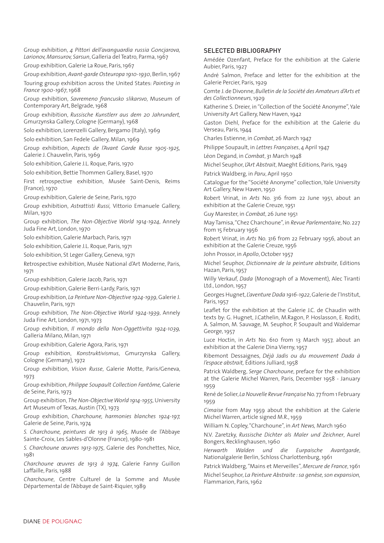Group exhibition, *4 Pittori dell'avanguardia russia Goncjarova, Larionov, Mansurov, Sarsun*, Galleria del Teatro, Parma, 1967

Group exhibition, Galerie La Roue, Paris, 1967

Group exhibition, *Avant-garde Osteuropa 1910-1930*, Berlin, 1967 Touring group exhibition across the United States: *Painting in* 

*France 1900-1967*, 1968

Group exhibition, *Savremeno francusko slikarsvo*, Museum of Contemporary Art, Belgrade, 1968

Group exhibition, *Russische Kunstlerr aus dem 20 Jahrundert,*  Gmurzynska Gallery, Cologne (Germany), 1968

Solo exhibition, Lorenzelli Gallery, Bergamo (Italy), 1969

Solo exhibition, San Fedele Gallery, Milan, 1969

Group exhibition, *Aspects de l'Avant Garde Russe 1905-1925,*  Galerie J. Chauvelin, Paris, 1969

Solo exhibition, Galerie J.L. Roque, Paris, 1970

Solo exhibition, Bettie Thommen Gallery, Basel, 1970

First retrospective exhibition, Musée Saint-Denis, Reims (France), 1970

Group exhibition, Galerie de Seine, Paris, 1970

Group exhibition, *Astrattisti Russi,* Vittorio Emanuele Gallery, Milan, 1970

Group exhibition, *The Non-Objective World 1914-1924*, Annely Juda Fine Art, London, 1970

Solo exhibition, Galerie Marbach, Paris, 1971

Solo exhibition, Galerie J.L. Roque, Paris, 1971

Solo exhibition, St Leger Gallery, Geneva, 1971

Retrospective exhibition, Musée National d'Art Moderne, Paris, 1971

Group exhibition, Galerie Jacob, Paris, 1971

Group exhibition, Galerie Berri-Lardy, Paris, 1971

Group exhibition, *La Peinture Non-Objective 1924-1939*, Galerie J. Chauvelin, Paris, 1971

Group exhibition, *The Non-Objective World 1924-1939*, Annely Juda Fine Art, London, 1971, 1973

Group exhibition, *Il mondo della Non-Oggettivita 1924-1039,*  Galleria Milano, Milan, 1971

Group exhibition, Galerie Agora, Paris, 1971

Group exhibition, *Konstruktivismus*, Gmurzynska Gallery, Cologne (Germany), 1972

Group exhibition, *Vision Russe*, Galerie Motte, Paris/Geneva, 1973

Group exhibition, *Philippe Soupault Collection Fantôme,* Galerie de Seine, Paris, 1973

Group exhibition, *The Non-Objective World 1914-1955,* University Art Museum of Texas, Austin (TX), 1973

Group exhibition, *Charchoune, harmonies blanches 1924-197,*  Galerie de Seine, Paris, 1974

*S. Charchoune, peintures de 1913 à 1965*, Musée de l'Abbaye Sainte-Croix, Les Sables-d'Olonne (France), 1980-1981

*S. Charchoune œuvres 1913-1975*, Galerie des Ponchettes, Nice, 1981

*Charchoune œuvres de 1913 à 1974*, Galerie Fanny Guillon Laffaille, Paris, 1988

*Charchoune*, Centre Culturel de la Somme and Musée Départemental de l'Abbaye de Saint-Riquier, 1989

#### SELECTED BIBLIOGRAPHY

Amédée Ozenfant, Preface for the exhibition at the Galerie Aubier, Paris, 1927

André Salmon, Preface and letter for the exhibition at the Galerie Percier, Paris, 1929

Comte J. de Divonne, *Bulletin de la Société des Amateurs d'Arts et des Collectionneurs*, 1929

Katherine S. Dreier, in "Collection of the Société Anonyme", Yale University Art Gallery, New Haven, 1942

Gaston Diehl, Preface for the exhibition at the Galerie du Verseau, Paris, 1944

Charles Estienne, in *Combat*, 26 March 1947

Philippe Soupault, in *Lettres Françaises*, 4 April 1947

Léon Degand, in *Combat*, 31 March 1948

Michel Seuphor, *L'Art Abstrait*, Maeght Editions, Paris, 1949 Patrick Waldberg, in *Paru*, April 1950

Catalogue for the "Société Anonyme" collection, Yale University Art Gallery, New Haven, 1950

Robert Vrinat, in *Arts* No. 316 from 22 June 1951, about an exhibition at the Galerie Creuze, 1951

Guy Marester, in *Combat*, 26 June 1951

May Tamisa, "Chez Charchoune", in *Revue Parlementaire*, No. 227 from 15 February 1956

Robert Vrinat, in *Arts* No. 316 from 22 February 1956, about an exhibition at the Galerie Creuze, 1956

John Prossor, in *Apollo*, October 1957

Michel Seuphor, *Dictionnaire de la peinture abstraite*, Editions Hazan, Paris, 1957

Willy Verkauf, *Dada* (Monograph of a Movement), Alec Tiranti Ltd., London, 1957

Georges Hugnet, *L'aventure Dada 1916-1922*, Galerie de l'Institut, Paris, 1957

Leaflet for the exhibition at the Galerie J.C. de Chaudin with texts by: G. Hugnet, J.Cathelin, M.Ragon, P. Hoslasson, E. Roditi, A. Salmon, M. Sauvage, M. Seuphor, P. Soupault and Waldemar George, 1957

Luce Hoctin, in *Arts* No. 610 from 13 March 1957, about an exhibition at the Galerie Dina Vierny, 1957

Ribemont Dessaignes, *Déjà Jadis ou du mouvement Dada à l'espace abstrait,* Éditions Julliard, 1958

Patrick Waldberg, *Serge Charchoune*, preface for the exhibition at the Galerie Michel Warren, Paris, December 1958 - January 1959

René de Solier, *La Nouvelle Revue Française* No. 77 from 1 February 1959

*Cimaise* from May 1959 about the exhibition at the Galerie Michel Warren, article signed M.R., 1959

William N. Copley, "Charchoune", in *Art News,* March 1960

N.V. Zaretzky, *Russische Dichter als Maler und Zeichner*, Aurel Bongers, Recklinghausen, 1960

*Herwarth Walden und die Eurpaische Avantgarde*, Nationalgalerie Berlin, Schloss Charlottenburg, 1961

Patrick Waldberg, "Mains et Merveilles", *Mercure de France*, 1961 Michel Seuphor, *La Peinture Abstraite : sa genèse, son expansion,*  Flammarion, Paris, 1962